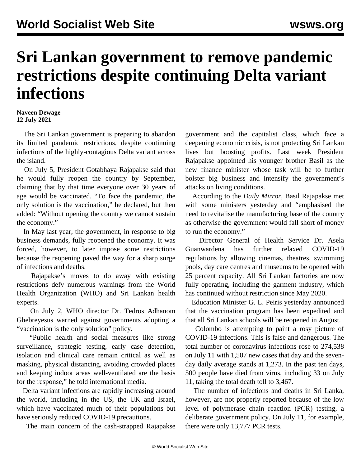## **Sri Lankan government to remove pandemic restrictions despite continuing Delta variant infections**

## **Naveen Dewage 12 July 2021**

 The Sri Lankan government is preparing to abandon its limited pandemic restrictions, despite continuing infections of the highly-contagious Delta variant across the island.

 On July 5, President Gotabhaya Rajapakse said that he would fully reopen the country by September, claiming that by that time everyone over 30 years of age would be vaccinated. "To face the pandemic, the only solution is the vaccination," he declared, but then added: "Without opening the country we cannot sustain the economy."

 In May last year, the government, in response to big business demands, fully reopened the economy. It was forced, however, to later impose some restrictions because the reopening paved the way for a sharp surge of infections and deaths.

 Rajapakse's moves to do away with existing restrictions defy numerous warnings from the World Health Organization (WHO) and Sri Lankan health experts.

 On July 2, WHO director Dr. Tedros Adhanom Ghebreyesus [warned](/en/articles/2021/07/05/covi-j04.html) against governments adopting a "vaccination is the only solution" policy.

 "Public health and social measures like strong surveillance, strategic testing, early case detection, isolation and clinical care remain critical as well as masking, physical distancing, avoiding crowded places and keeping indoor areas well-ventilated are the basis for the response," he told international media.

 Delta variant infections are rapidly increasing around the world, including in the US, the UK and Israel, which have vaccinated much of their populations but have seriously reduced COVID-19 precautions.

The main concern of the cash-strapped Rajapakse

government and the capitalist class, which face a deepening economic crisis, is not protecting Sri Lankan lives but boosting profits. Last week President Rajapakse appointed his younger brother Basil as the new finance minister whose task will be to further bolster big business and intensify the government's attacks on living conditions.

 According to the *Daily Mirror*, Basil Rajapakse met with some ministers yesterday and "emphasised the need to revitalise the manufacturing base of the country as otherwise the government would fall short of money to run the economy."

 Director General of Health Service Dr. Asela Guanwardena has further relaxed COVID-19 regulations by allowing cinemas, theatres, swimming pools, day care centres and museums to be opened with 25 percent capacity. All Sri Lankan factories are now fully operating, including the garment industry, which has continued without restriction since May 2020.

 Education Minister G. L. Peiris yesterday announced that the vaccination program has been expedited and that all Sri Lankan schools will be reopened in August.

 Colombo is attempting to paint a rosy picture of COVID-19 infections. This is false and dangerous. The total number of coronavirus infections rose to 274,538 on July 11 with 1,507 new cases that day and the sevenday daily average stands at 1,273. In the past ten days, 500 people have died from virus, including 33 on July 11, taking the total death toll to 3,467.

 The number of infections and deaths in Sri Lanka, however, are not properly reported because of the low level of polymerase chain reaction (PCR) testing, a deliberate government policy. On July 11, for example, there were only 13,777 PCR tests.